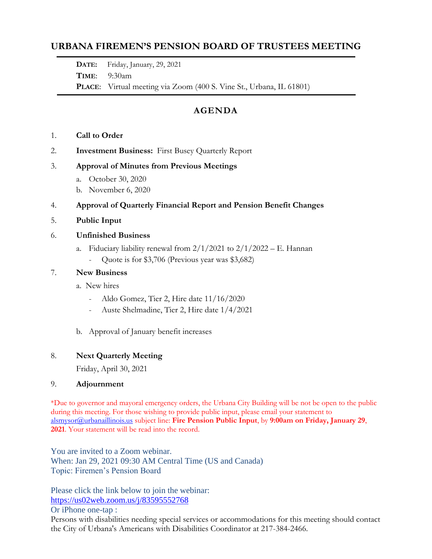# **URBANA FIREMEN'S PENSION BOARD OF TRUSTEES MEETING**

**DATE:** Friday, January, 29, 2021

**TIME**: 9:30am

**PLACE**: Virtual meeting via Zoom (400 S. Vine St., Urbana, IL 61801)

# **AGENDA**

- 1. **Call to Order**
- 2. **Investment Business:** First Busey Quarterly Report

#### 3. **Approval of Minutes from Previous Meetings**

- a. October 30, 2020
- b. November 6, 2020

## 4. **Approval of Quarterly Financial Report and Pension Benefit Changes**

5. **Public Input**

#### 6. **Unfinished Business**

- a. Fiduciary liability renewal from  $2/1/2021$  to  $2/1/2022 E$ . Hannan
	- Quote is for \$3,706 (Previous year was \$3,682)

#### 7. **New Business**

- a. New hires
	- Aldo Gomez, Tier 2, Hire date 11/16/2020
	- Auste Shelmadine, Tier 2, Hire date 1/4/2021
- b. Approval of January benefit increases

## 8. **Next Quarterly Meeting**

Friday, April 30, 2021

#### 9. **Adjournment**

\*Due to governor and mayoral emergency orders, the Urbana City Building will be not be open to the public during this meeting. For those wishing to provide public input, please email your statement to [alsmysor@urbanaillinois.us](mailto:alsmysor@urbanaillinois.us) subject line: **Fire Pension Public Input**, by **9:00am on Friday, January 29**, **2021**. Your statement will be read into the record.

You are invited to a Zoom webinar. When: Jan 29, 2021 09:30 AM Central Time (US and Canada) Topic: Firemen's Pension Board

Please click the link below to join the webinar: <https://us02web.zoom.us/j/83595552768>

Or iPhone one-tap :

Persons with disabilities needing special services or accommodations for this meeting should contact the City of Urbana's Americans with Disabilities Coordinator at 217-384-2466.